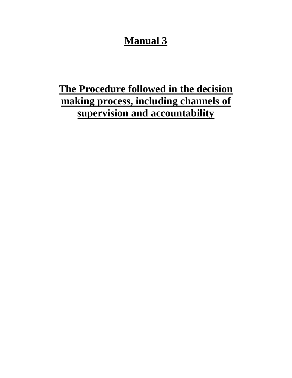## **Manual 3**

# **The Procedure followed in the decision making process, including channels of supervision and accountability**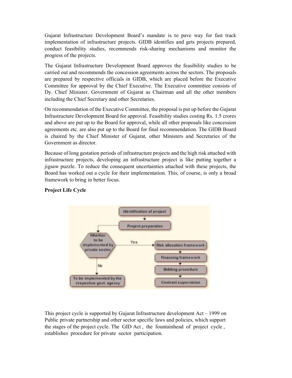Gujarat Infrastructure Development Board's mandate is to pave way for fast track implementation of infrastructure projects. GIDB identifies and gets projects prepared, conduct feasibility studies, recommends risk-sharing mechanisms and monitor the progress of the projects.

The Gujarat Infrastructure Development Board approves the feasibility studies to be carried out and recommends the concession agreements across the sectors. The proposals are prepared by respective officials in GIDB, which are placed before the Executive Committee for approval by the Chief Executive. The Executive committee consists of Dy. Chief Minister, Government of Gujarat as Chairman and all the other members including the Chief Secretary and other Secretaries.

On recommendation of the Executive Committee, the proposal is put up before the Gujarat Infrastructure Development Board for approval. Feasibility studies costing Rs. 1.5 crores and above are put up to the Board for approval, while all other proposals like concession agreements etc. are also put up to the Board for final recommendation. The GIDB Board is chaired by the Chief Minister of Gujarat, other Ministers and Secretaries of the Government as director.

Because of long gestation periods of infrastructure projects and the high risk attached with infrastructure projects, developing an infrastructure project is like putting together a jigsaw puzzle. To reduce the consequent uncertainties attached with these projects, the Board has worked out a cycle for their implementation. This, of course, is only a broad framework to bring in better focus.



### Project Life Cycle

This project cycle is supported by Gujarat Infrastructure development Act – 1999 on Public private partnership and other sector specific laws and policies, which support the stages of the project cycle. The GID Act , the fountainhead of project cycle , establishes procedure for private sector participation.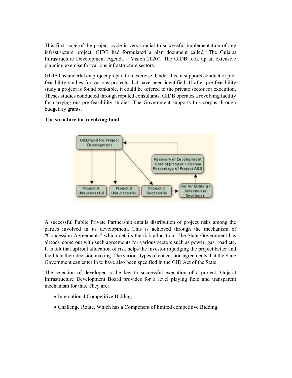This first stage of the project cycle is very crucial to successful implementation of any infrastructure project. GIDB had formulated a plan document called "The Gujarat Infrastructure Development Agenda – Vision 2020". The GIDB took up an extensive planning exercise for various infrastructure sectors.

GIDB has undertaken project preparation exercise. Under this, it supports conduct of prefeasibility studies for various projects that have been identified. If after pre-feasibility study a project is found bankable, it could be offered to the private sector for execution. Theses studies conducted through reputed consultants. GIDB operates a revolving facility for carrying out pre-feasibility studies. The Government supports this corpus through budgetary grants.

#### The structure for revolving fund



A successful Public Private Partnership entails distribution of project risks among the parties involved in its development. This is achieved through the mechanism of "Concession Agreements" which details the risk allocation. The State Government has already come out with such agreements for various sectors such as power, gas, road etc. It is felt that upfront allocation of risk helps the investor in judging the project better and facilitate their decision making. The various types of concession agreements that the State Government can enter in to have also been specified in the GID Act of the State.

The selection of developer is the key to successful execution of a project. Gujarat Infrastructure Development Board provides for a level playing field and transparent mechanism for this. They are:

- International Competitive Bidding
- Challenge Route, Which has a Component of limited competitive Bidding.